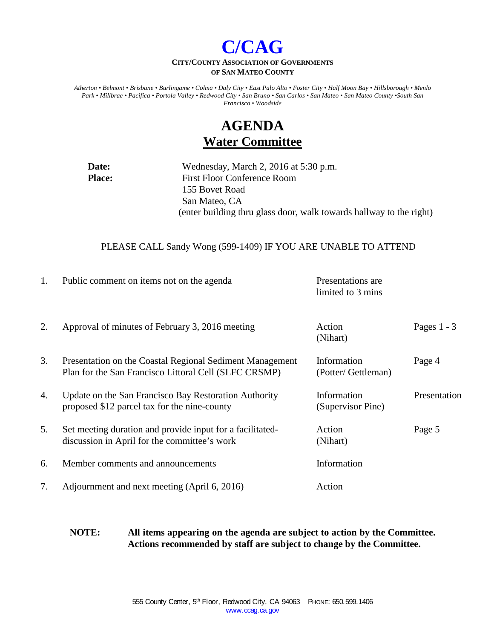

#### **CITY/COUNTY ASSOCIATION OF GOVERNMENTS OF SAN MATEO COUNTY**

*Atherton • Belmont • Brisbane • Burlingame • Colma • Daly City • East Palo Alto • Foster City • Half Moon Bay • Hillsborough • Menlo Park • Millbrae • Pacifica • Portola Valley • Redwood City • San Bruno • San Carlos • San Mateo • San Mateo County •South San Francisco • Woodside*

# **AGENDA Water Committee**

**Date:** Wednesday, March 2, 2016 at 5:30 p.m. **Place:** First Floor Conference Room 155 Bovet Road San Mateo, CA (enter building thru glass door, walk towards hallway to the right)

#### PLEASE CALL Sandy Wong (599-1409) IF YOU ARE UNABLE TO ATTEND

| 1. | Public comment on items not on the agenda                                                                         | Presentations are<br>limited to 3 mins |               |
|----|-------------------------------------------------------------------------------------------------------------------|----------------------------------------|---------------|
| 2. | Approval of minutes of February 3, 2016 meeting                                                                   | Action<br>(Nihart)                     | Pages $1 - 3$ |
| 3. | Presentation on the Coastal Regional Sediment Management<br>Plan for the San Francisco Littoral Cell (SLFC CRSMP) | Information<br>(Potter/ Gettleman)     | Page 4        |
| 4. | Update on the San Francisco Bay Restoration Authority<br>proposed \$12 parcel tax for the nine-county             | Information<br>(Supervisor Pine)       | Presentation  |
| 5. | Set meeting duration and provide input for a facilitated-<br>discussion in April for the committee's work         | Action<br>(Nihart)                     | Page 5        |
| 6. | Member comments and announcements                                                                                 | Information                            |               |
| 7. | Adjournment and next meeting (April 6, 2016)                                                                      | Action                                 |               |

**NOTE: All items appearing on the agenda are subject to action by the Committee. Actions recommended by staff are subject to change by the Committee.**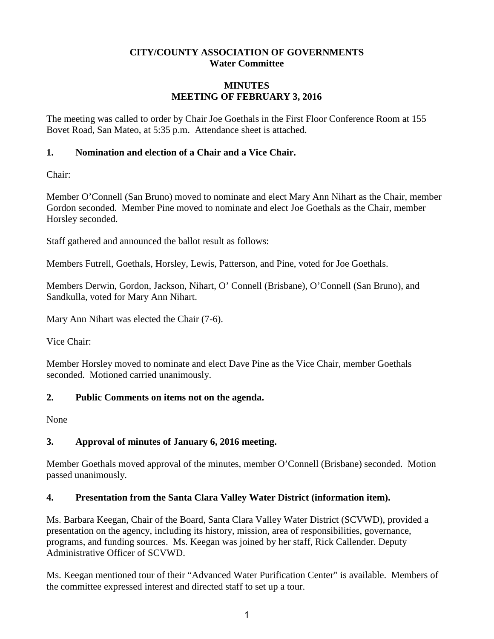### **CITY/COUNTY ASSOCIATION OF GOVERNMENTS Water Committee**

#### **MINUTES MEETING OF FEBRUARY 3, 2016**

The meeting was called to order by Chair Joe Goethals in the First Floor Conference Room at 155 Bovet Road, San Mateo, at 5:35 p.m. Attendance sheet is attached.

### **1. Nomination and election of a Chair and a Vice Chair.**

Chair:

Member O'Connell (San Bruno) moved to nominate and elect Mary Ann Nihart as the Chair, member Gordon seconded. Member Pine moved to nominate and elect Joe Goethals as the Chair, member Horsley seconded.

Staff gathered and announced the ballot result as follows:

Members Futrell, Goethals, Horsley, Lewis, Patterson, and Pine, voted for Joe Goethals.

Members Derwin, Gordon, Jackson, Nihart, O' Connell (Brisbane), O'Connell (San Bruno), and Sandkulla, voted for Mary Ann Nihart.

Mary Ann Nihart was elected the Chair (7-6).

Vice Chair:

Member Horsley moved to nominate and elect Dave Pine as the Vice Chair, member Goethals seconded. Motioned carried unanimously.

### **2. Public Comments on items not on the agenda.**

None

### **3. Approval of minutes of January 6, 2016 meeting.**

Member Goethals moved approval of the minutes, member O'Connell (Brisbane) seconded. Motion passed unanimously.

### **4. Presentation from the Santa Clara Valley Water District (information item).**

Ms. Barbara Keegan, Chair of the Board, Santa Clara Valley Water District (SCVWD), provided a presentation on the agency, including its history, mission, area of responsibilities, governance, programs, and funding sources. Ms. Keegan was joined by her staff, Rick Callender. Deputy Administrative Officer of SCVWD.

Ms. Keegan mentioned tour of their "Advanced Water Purification Center" is available. Members of the committee expressed interest and directed staff to set up a tour.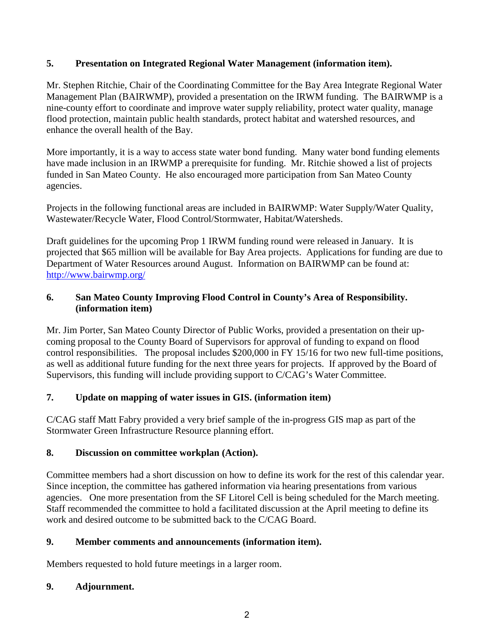### **5. Presentation on Integrated Regional Water Management (information item).**

Mr. Stephen Ritchie, Chair of the Coordinating Committee for the Bay Area Integrate Regional Water Management Plan (BAIRWMP), provided a presentation on the IRWM funding. The BAIRWMP is a nine-county effort to coordinate and improve water supply reliability, protect water quality, manage flood protection, maintain public health standards, protect habitat and watershed resources, and enhance the overall health of the Bay.

More importantly, it is a way to access state water bond funding. Many water bond funding elements have made inclusion in an IRWMP a prerequisite for funding. Mr. Ritchie showed a list of projects funded in San Mateo County. He also encouraged more participation from San Mateo County agencies.

Projects in the following functional areas are included in BAIRWMP: Water Supply/Water Quality, Wastewater/Recycle Water, Flood Control/Stormwater, Habitat/Watersheds.

Draft guidelines for the upcoming Prop 1 IRWM funding round were released in January. It is projected that \$65 million will be available for Bay Area projects. Applications for funding are due to Department of Water Resources around August. Information on BAIRWMP can be found at: <http://www.bairwmp.org/>

### **6. San Mateo County Improving Flood Control in County's Area of Responsibility. (information item)**

Mr. Jim Porter, San Mateo County Director of Public Works, provided a presentation on their upcoming proposal to the County Board of Supervisors for approval of funding to expand on flood control responsibilities. The proposal includes \$200,000 in FY 15/16 for two new full-time positions, as well as additional future funding for the next three years for projects. If approved by the Board of Supervisors, this funding will include providing support to C/CAG's Water Committee.

### **7. Update on mapping of water issues in GIS. (information item)**

C/CAG staff Matt Fabry provided a very brief sample of the in-progress GIS map as part of the Stormwater Green Infrastructure Resource planning effort.

### **8. Discussion on committee workplan (Action).**

Committee members had a short discussion on how to define its work for the rest of this calendar year. Since inception, the committee has gathered information via hearing presentations from various agencies. One more presentation from the SF Litorel Cell is being scheduled for the March meeting. Staff recommended the committee to hold a facilitated discussion at the April meeting to define its work and desired outcome to be submitted back to the C/CAG Board.

## **9. Member comments and announcements (information item).**

Members requested to hold future meetings in a larger room.

### **9. Adjournment.**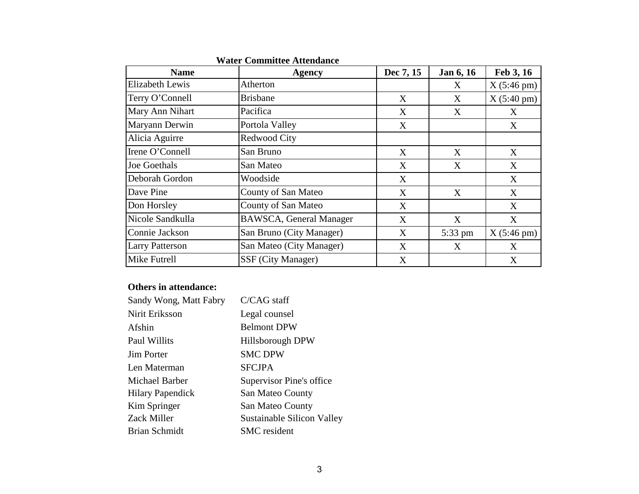| <b>Name</b>            | <b>Agency</b>                  | Dec 7, 15 | Jan 6, 16 | Feb 3, 16            |
|------------------------|--------------------------------|-----------|-----------|----------------------|
| <b>Elizabeth Lewis</b> | Atherton                       |           | X         | $X(5:46 \text{ pm})$ |
| Terry O'Connell        | <b>Brisbane</b>                | X         | X         | $X(5:40 \text{ pm})$ |
| Mary Ann Nihart        | Pacifica                       | X         | X         | X                    |
| Maryann Derwin         | Portola Valley                 | X         |           | X                    |
| Alicia Aguirre         | Redwood City                   |           |           |                      |
| Irene O'Connell        | San Bruno                      | X         | X         | X                    |
| <b>Joe Goethals</b>    | San Mateo                      | X         | X         | X                    |
| Deborah Gordon         | Woodside                       | X         |           | X                    |
| Dave Pine              | County of San Mateo            | X         | X         | X                    |
| Don Horsley            | County of San Mateo            | X         |           | X                    |
| Nicole Sandkulla       | <b>BAWSCA, General Manager</b> | X         | X         | X                    |
| Connie Jackson         | San Bruno (City Manager)       | X         | 5:33 pm   | $X(5:46 \text{ pm})$ |
| <b>Larry Patterson</b> | San Mateo (City Manager)       | X         | X         | X                    |
| Mike Futrell           | SSF (City Manager)             | X         |           | X                    |

**Water Committee Attendance** 

### **Others in attendance:**

| Sandy Wong, Matt Fabry  | C/CAG staff                |
|-------------------------|----------------------------|
| Nirit Eriksson          | Legal counsel              |
| Afshin                  | <b>Belmont DPW</b>         |
| Paul Willits            | Hillsborough DPW           |
| <b>Jim Porter</b>       | <b>SMC DPW</b>             |
| Len Materman            | <b>SFCJPA</b>              |
| Michael Barber          | Supervisor Pine's office   |
| <b>Hilary Papendick</b> | San Mateo County           |
| Kim Springer            | San Mateo County           |
| Zack Miller             | Sustainable Silicon Valley |
| Brian Schmidt           | <b>SMC</b> resident        |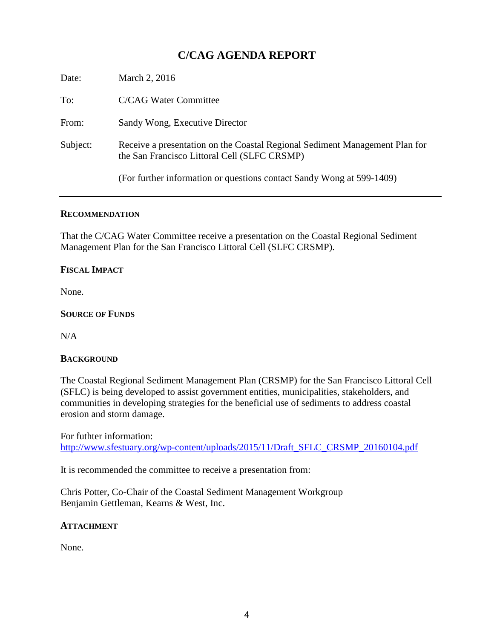# **C/CAG AGENDA REPORT**

| Date:    | March 2, 2016                                                                                                               |
|----------|-----------------------------------------------------------------------------------------------------------------------------|
| To:      | <b>C/CAG Water Committee</b>                                                                                                |
| From:    | Sandy Wong, Executive Director                                                                                              |
| Subject: | Receive a presentation on the Coastal Regional Sediment Management Plan for<br>the San Francisco Littoral Cell (SLFC CRSMP) |
|          | (For further information or questions contact Sandy Wong at 599-1409)                                                       |

#### **RECOMMENDATION**

That the C/CAG Water Committee receive a presentation on the Coastal Regional Sediment Management Plan for the San Francisco Littoral Cell (SLFC CRSMP).

#### **FISCAL IMPACT**

None.

#### **SOURCE OF FUNDS**

N/A

#### **BACKGROUND**

The Coastal Regional Sediment Management Plan (CRSMP) for the San Francisco Littoral Cell (SFLC) is being developed to assist government entities, municipalities, stakeholders, and communities in developing strategies for the beneficial use of sediments to address coastal erosion and storm damage.

For futhter information:

[http://www.sfestuary.org/wp-content/uploads/2015/11/Draft\\_SFLC\\_CRSMP\\_20160104.pdf](http://www.sfestuary.org/wp-content/uploads/2015/11/Draft_SFLC_CRSMP_20160104.pdf)

It is recommended the committee to receive a presentation from:

Chris Potter, Co-Chair of the Coastal Sediment Management Workgroup Benjamin Gettleman, Kearns & West, Inc.

#### **ATTACHMENT**

None.